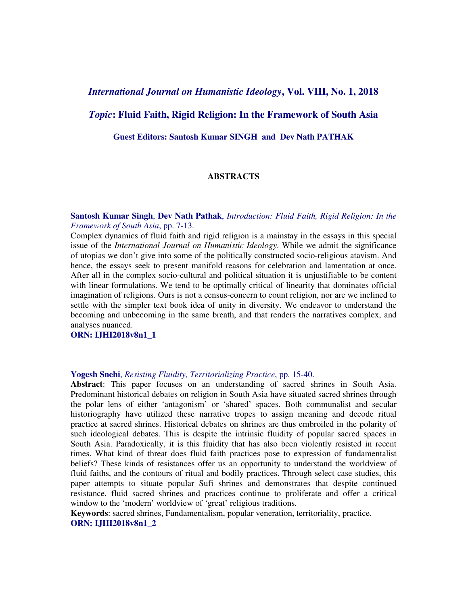# *International Journal on Humanistic Ideology***, Vol. VIII, No. 1, 2018**

# *Topic***: Fluid Faith, Rigid Religion: In the Framework of South Asia**

**Guest Editors: Santosh Kumar SINGH and Dev Nath PATHAK** 

### **ABSTRACTS**

**Santosh Kumar Singh**, **Dev Nath Pathak**, *Introduction: Fluid Faith, Rigid Religion: In the Framework of South Asia*, pp. 7-13.

Complex dynamics of fluid faith and rigid religion is a mainstay in the essays in this special issue of the *International Journal on Humanistic Ideology*. While we admit the significance of utopias we don't give into some of the politically constructed socio-religious atavism. And hence, the essays seek to present manifold reasons for celebration and lamentation at once. After all in the complex socio-cultural and political situation it is unjustifiable to be content with linear formulations. We tend to be optimally critical of linearity that dominates official imagination of religions. Ours is not a census-concern to count religion, nor are we inclined to settle with the simpler text book idea of unity in diversity. We endeavor to understand the becoming and unbecoming in the same breath, and that renders the narratives complex, and analyses nuanced.

## **ORN: IJHI2018v8n1\_1**

# **Yogesh Snehi**, *Resisting Fluidity, Territorializing Practice*, pp. 15-40.

**Abstract**: This paper focuses on an understanding of sacred shrines in South Asia. Predominant historical debates on religion in South Asia have situated sacred shrines through the polar lens of either 'antagonism' or 'shared' spaces. Both communalist and secular historiography have utilized these narrative tropes to assign meaning and decode ritual practice at sacred shrines. Historical debates on shrines are thus embroiled in the polarity of such ideological debates. This is despite the intrinsic fluidity of popular sacred spaces in South Asia. Paradoxically, it is this fluidity that has also been violently resisted in recent times. What kind of threat does fluid faith practices pose to expression of fundamentalist beliefs? These kinds of resistances offer us an opportunity to understand the worldview of fluid faiths, and the contours of ritual and bodily practices. Through select case studies, this paper attempts to situate popular Sufi shrines and demonstrates that despite continued resistance, fluid sacred shrines and practices continue to proliferate and offer a critical window to the 'modern' worldview of 'great' religious traditions.

**Keywords**: sacred shrines, Fundamentalism, popular veneration, territoriality, practice. **ORN: IJHI2018v8n1\_2**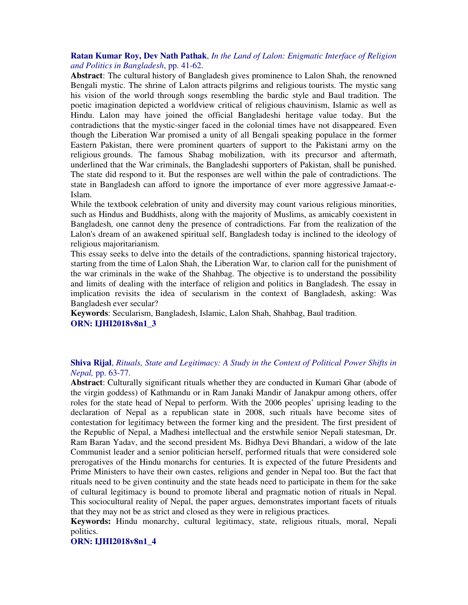### **Ratan Kumar Roy, Dev Nath Pathak**, *In the Land of Lalon: Enigmatic Interface of Religion and Politics in Bangladesh*, pp. 41-62.

**Abstract**: The cultural history of Bangladesh gives prominence to Lalon Shah, the renowned Bengali mystic. The shrine of Lalon attracts pilgrims and religious tourists. The mystic sang his vision of the world through songs resembling the bardic style and Baul tradition. The poetic imagination depicted a worldview critical of religious chauvinism, Islamic as well as Hindu. Lalon may have joined the official Bangladeshi heritage value today. But the contradictions that the mystic-singer faced in the colonial times have not disappeared. Even though the Liberation War promised a unity of all Bengali speaking populace in the former Eastern Pakistan, there were prominent quarters of support to the Pakistani army on the religious grounds. The famous Shabag mobilization, with its precursor and aftermath, underlined that the War criminals, the Bangladeshi supporters of Pakistan, shall be punished. The state did respond to it. But the responses are well within the pale of contradictions. The state in Bangladesh can afford to ignore the importance of ever more aggressive Jamaat-e-Islam.

 While the textbook celebration of unity and diversity may count various religious minorities, such as Hindus and Buddhists, along with the majority of Muslims, as amicably coexistent in Bangladesh, one cannot deny the presence of contradictions. Far from the realization of the Lalon's dream of an awakened spiritual self, Bangladesh today is inclined to the ideology of religious majoritarianism.

This essay seeks to delve into the details of the contradictions, spanning historical trajectory, starting from the time of Lalon Shah, the Liberation War, to clarion call for the punishment of the war criminals in the wake of the Shahbag. The objective is to understand the possibility and limits of dealing with the interface of religion and politics in Bangladesh. The essay in implication revisits the idea of secularism in the context of Bangladesh, asking: Was Bangladesh ever secular?

**Keywords**: Secularism, Bangladesh, Islamic, Lalon Shah, Shahbag, Baul tradition. **ORN: IJHI2018v8n1\_3** 

## **Shiva Rijal**, *Rituals, State and Legitimacy: A Study in the Context of Political Power Shifts in Nepal,* pp. 63-77.

**Abstract**: Culturally significant rituals whether they are conducted in Kumari Ghar (abode of the virgin goddess) of Kathmandu or in Ram Janaki Mandir of Janakpur among others, offer roles for the state head of Nepal to perform. With the 2006 peoples' uprising leading to the declaration of Nepal as a republican state in 2008, such rituals have become sites of contestation for legitimacy between the former king and the president. The first president of the Republic of Nepal, a Madhesi intellectual and the erstwhile senior Nepali statesman, Dr. Ram Baran Yadav, and the second president Ms. Bidhya Devi Bhandari, a widow of the late Communist leader and a senior politician herself, performed rituals that were considered sole prerogatives of the Hindu monarchs for centuries. It is expected of the future Presidents and Prime Ministers to have their own castes, religions and gender in Nepal too. But the fact that rituals need to be given continuity and the state heads need to participate in them for the sake of cultural legitimacy is bound to promote liberal and pragmatic notion of rituals in Nepal. This sociocultural reality of Nepal, the paper argues, demonstrates important facets of rituals that they may not be as strict and closed as they were in religious practices.

**Keywords:** Hindu monarchy, cultural legitimacy, state, religious rituals, moral, Nepali politics.

#### **ORN: IJHI2018v8n1\_4**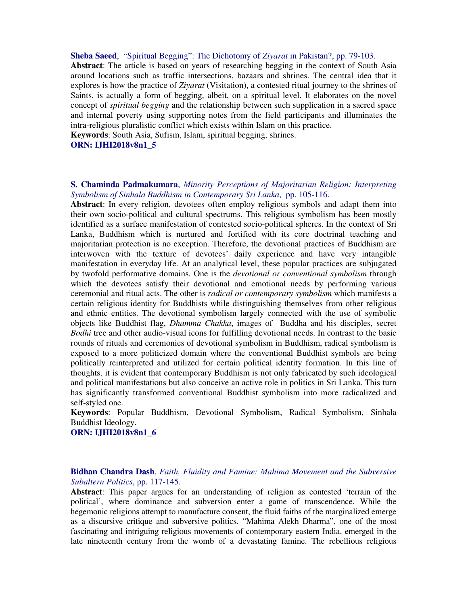**Sheba Saeed**, "Spiritual Begging": The Dichotomy of *Ziyarat* in Pakistan?, pp. 79-103.

**Abstract**: The article is based on years of researching begging in the context of South Asia around locations such as traffic intersections, bazaars and shrines. The central idea that it explores is how the practice of *Ziyarat* (Visitation), a contested ritual journey to the shrines of Saints, is actually a form of begging, albeit, on a spiritual level. It elaborates on the novel concept of *spiritual begging* and the relationship between such supplication in a sacred space and internal poverty using supporting notes from the field participants and illuminates the intra-religious pluralistic conflict which exists within Islam on this practice.

**Keywords**: South Asia, Sufism, Islam, spiritual begging, shrines.

### **ORN: IJHI2018v8n1\_5**

#### **S. Chaminda Padmakumara**, *Minority Perceptions of Majoritarian Religion: Interpreting Symbolism of Sinhala Buddhism in Contemporary Sri Lanka*, pp. 105-116.

**Abstract**: In every religion, devotees often employ religious symbols and adapt them into their own socio-political and cultural spectrums. This religious symbolism has been mostly identified as a surface manifestation of contested socio-political spheres. In the context of Sri Lanka, Buddhism which is nurtured and fortified with its core doctrinal teaching and majoritarian protection is no exception. Therefore, the devotional practices of Buddhism are interwoven with the texture of devotees' daily experience and have very intangible manifestation in everyday life. At an analytical level, these popular practices are subjugated by twofold performative domains. One is the *devotional or conventional symbolism* through which the devotees satisfy their devotional and emotional needs by performing various ceremonial and ritual acts. The other is *radical or contemporary symbolism* which manifests a certain religious identity for Buddhists while distinguishing themselves from other religious and ethnic entities. The devotional symbolism largely connected with the use of symbolic objects like Buddhist flag, *Dhamma Chakka*, images of Buddha and his disciples, secret *Bodhi* tree and other audio-visual icons for fulfilling devotional needs. In contrast to the basic rounds of rituals and ceremonies of devotional symbolism in Buddhism, radical symbolism is exposed to a more politicized domain where the conventional Buddhist symbols are being politically reinterpreted and utilized for certain political identity formation. In this line of thoughts, it is evident that contemporary Buddhism is not only fabricated by such ideological and political manifestations but also conceive an active role in politics in Sri Lanka. This turn has significantly transformed conventional Buddhist symbolism into more radicalized and self-styled one.

**Keywords**: Popular Buddhism, Devotional Symbolism, Radical Symbolism, Sinhala Buddhist Ideology.

## **ORN: IJHI2018v8n1\_6**

**Bidhan Chandra Dash**, *Faith, Fluidity and Famine: Mahima Movement and the Subversive Subaltern Politics*, pp. 117-145.

**Abstract**: This paper argues for an understanding of religion as contested 'terrain of the political', where dominance and subversion enter a game of transcendence. While the hegemonic religions attempt to manufacture consent, the fluid faiths of the marginalized emerge as a discursive critique and subversive politics. "Mahima Alekh Dharma", one of the most fascinating and intriguing religious movements of contemporary eastern India, emerged in the late nineteenth century from the womb of a devastating famine. The rebellious religious